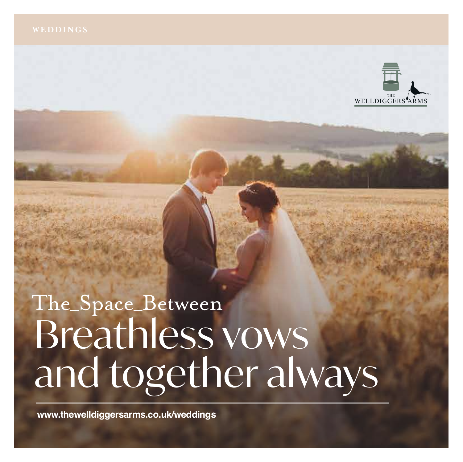

# The\_Space\_Between Breathless vows and together always

**www.thewelldiggersarms.co.uk/weddings**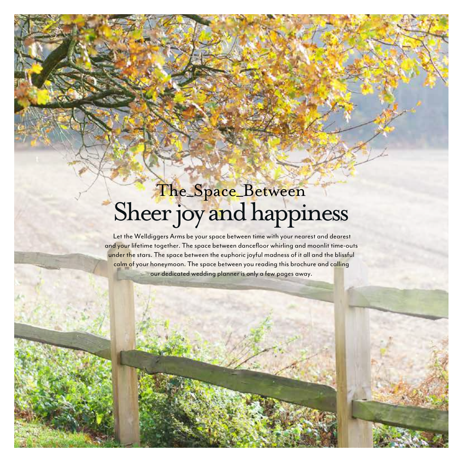## The\_Space\_Between Sheer joy and happiness

 Let the Welldiggers Arms be your space between time with your nearest and dearest and your lifetime together. The space between dancefloor whirling and moonlit time-outs under the stars. The space between the euphoric joyful madness of it all and the blissful calm of your honeymoon. The space between you reading this brochure and calling our dedicated wedding planner is only a few pages away.

ARMS THE WELLDIGGERS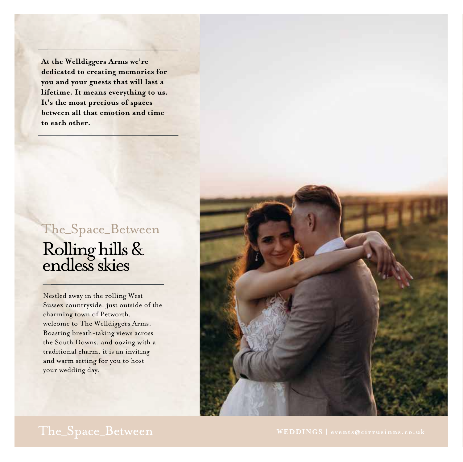**At the Welldiggers Arms we're dedicated to creating memories for you and your guests that will last a lifetime. It means everything to us. It's the most precious of spaces between all that emotion and time to each other.**

## Rolling hills & endless skies The\_Space\_Between

Nestled away in the rolling West Sussex countryside, just outside of the charming town of Petworth, welcome to The Welldiggers Arms. Boasting breath-taking views across the South Downs, and oozing with a traditional charm, it is an inviting and warm setting for you to host your wedding day.

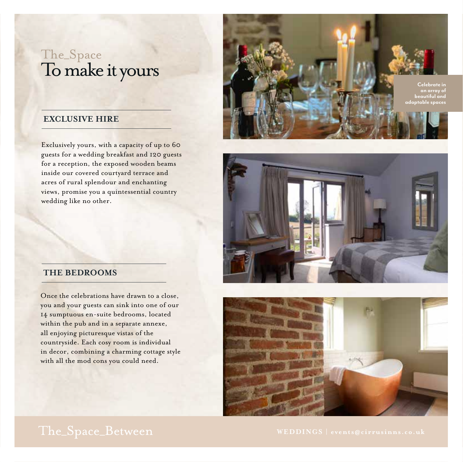### The\_Space To make it yours

### **EXCLUSIVE HIRE**

Exclusively yours, with a capacity of up to 60 guests for a wedding breakfast and 120 guests for a reception, the exposed wooden beams inside our covered courtyard terrace and acres of rural splendour and enchanting views, promise you a quintessential country wedding like no other.





### **THE BEDROOMS**

Once the celebrations have drawn to a close, you and your guests can sink into one of our 14 sumptuous en-suite bedrooms, located within the pub and in a separate annexe, all enjoying picturesque vistas of the countryside. Each cosy room is individual in decor, combining a charming cottage style with all the mod cons you could need.

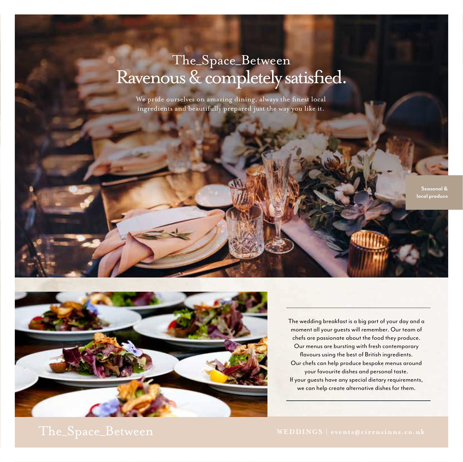## Ravenous & completely satisfied. The\_Space\_Between

We pride ourselves on amazing dining, always the finest local ingredients and beautifully prepared just the way you like it.

> **Seasonal & local produce**



The wedding breakfast is a big part of your day and a moment all your guests will remember. Our team of chefs are passionate about the food they produce. Our menus are bursting with fresh contemporary flavours using the best of British ingredients. Our chefs can help produce bespoke menus around your favourite dishes and personal taste. If your guests have any special dietary requirements, we can help create alternative dishes for them.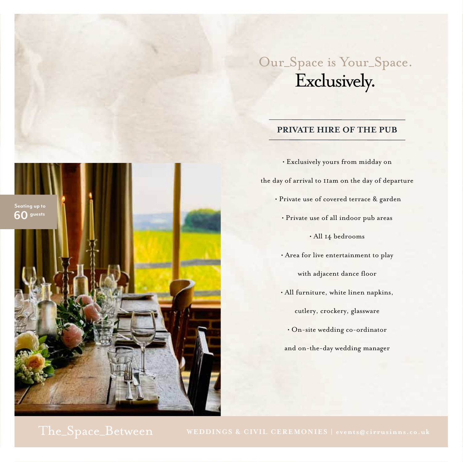## Our\_Space is Your\_Space. Exclusively.

### **PRIVATE HIRE OF THE PUB**



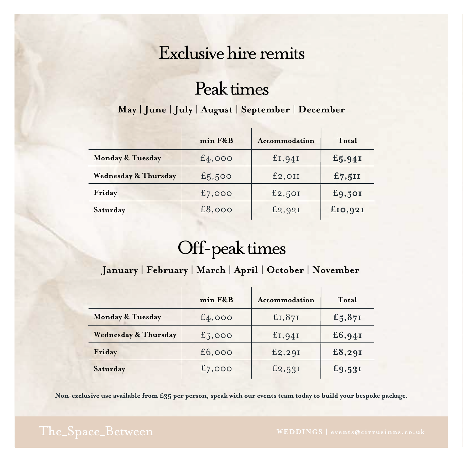## Exclusive hire remits

## Peak times

### **May | June | July | August | September | December**

|                                 | min F&B   | Accommodation | Total        |
|---------------------------------|-----------|---------------|--------------|
| Monday & Tuesday                | £4,000    | £I,94I        | £5,94I       |
| <b>Wednesday &amp; Thursday</b> | £5,500    | $E_2$ , $OII$ | £7,511       |
| Friday                          | $f_7,000$ | £2,50I        | £9,50I       |
| Saturday                        | £8,000    | £2,92I        | $f_{IO,92I}$ |

## Off-peak times

### **January | February | March | April | October | November**

|                                 | min F&B | Accommodation | Total  |
|---------------------------------|---------|---------------|--------|
| Monday & Tuesday                | £4,000  | £I,87I        | £5,87I |
| <b>Wednesday &amp; Thursday</b> | £5,000  | £I,94I        | £6,94I |
| Friday                          | £6,000  | £2,29I        | £8,29I |
| Saturday                        | £7,000  | £2,53I        | £9,53I |

Non-exclusive use available from £35 per person, speak with our events team today to build your bespoke package.